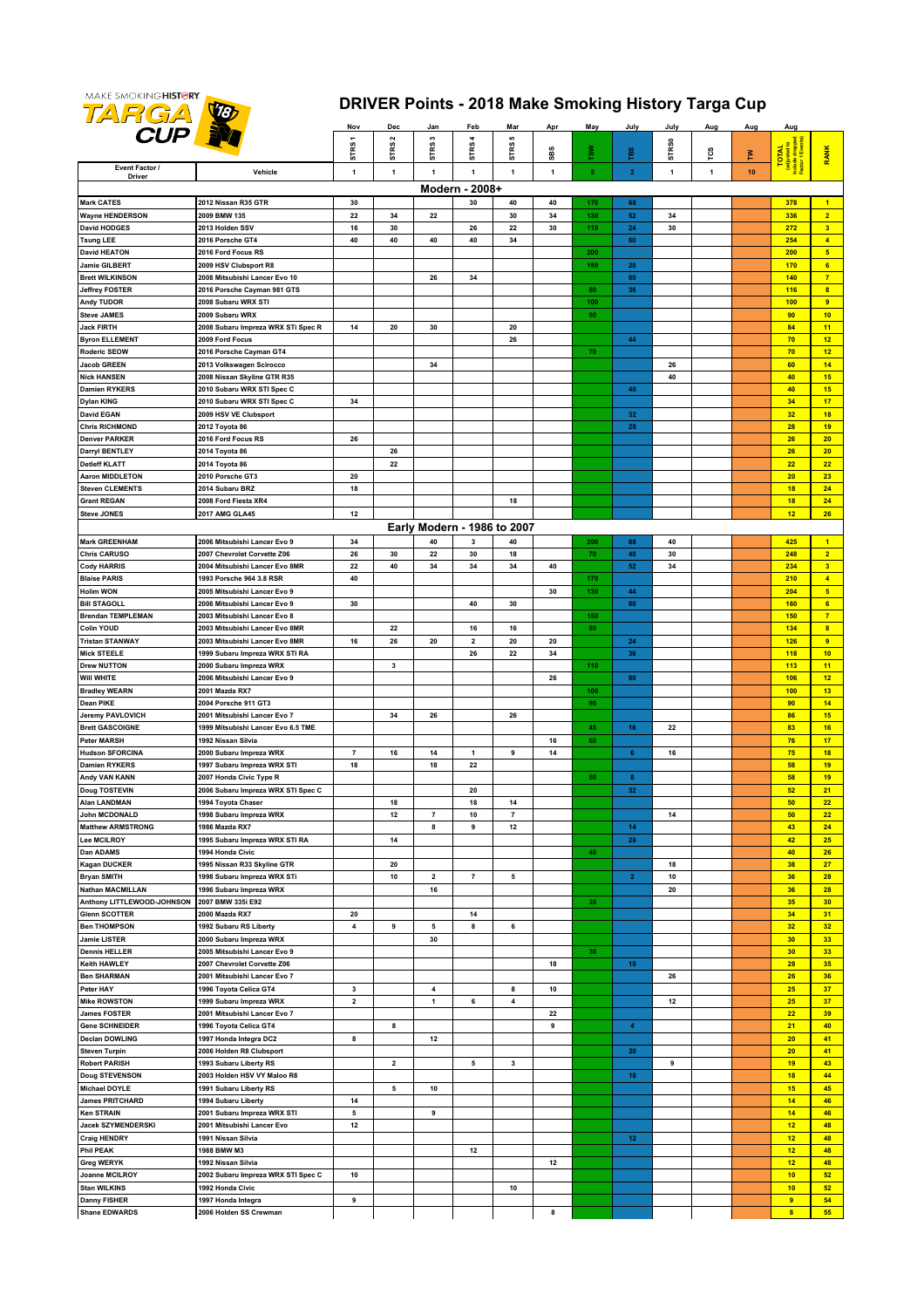

## **DRIVER Points - 2018 Make Smoking History Targa Cup**

|                                               |                                                          | Nov                           | Dec                  | Jan                     | Feb                         | Mar                           | Apr      | May                     | July                    | July         | Aug | Aug | Aug                                                       |                                           |
|-----------------------------------------------|----------------------------------------------------------|-------------------------------|----------------------|-------------------------|-----------------------------|-------------------------------|----------|-------------------------|-------------------------|--------------|-----|-----|-----------------------------------------------------------|-------------------------------------------|
| <b>CUP EX</b>                                 |                                                          | STRS1                         | $\mathbf{\tilde{z}}$ | s                       | 4                           | <b>SC</b><br>STRS             |          |                         |                         | <b>STRS0</b> |     |     |                                                           |                                           |
| Event Factor /                                |                                                          |                               | STRS                 | STRS                    | STRS                        |                               | SBS      | $\frac{8}{2}$           | TBS                     |              | rcs | Σ   | TOTAL<br><b>Redusted 1</b><br>Include drow<br>Factor 1 Ey | <b>RANK</b>                               |
| Driver                                        | Vehicle                                                  | 1                             | 1                    | $\mathbf{1}$            | 1                           | $\mathbf{1}$                  | 1        | $\overline{\mathbf{5}}$ | $\mathbf{2}$            | $\mathbf{1}$ | 1   | 10  |                                                           |                                           |
|                                               |                                                          |                               |                      |                         | Modern - 2008+              |                               |          |                         |                         |              |     |     |                                                           |                                           |
| Mark CATES                                    | 2012 Nissan R35 GTR                                      | 30                            |                      |                         | 30                          | 40                            | 40       | 170                     | 68                      |              |     |     | 378                                                       | $\blacktriangleleft$                      |
| <b>Wayne HENDERSON</b><br><b>David HODGES</b> | 2009 BMW 135<br>2013 Holden SSV                          | 22<br>16                      | 34<br>30             | 22                      | 26                          | 30<br>22                      | 34<br>30 | 130<br>110              | 52<br>24                | 34<br>30     |     |     | 336<br>272                                                | $\overline{2}$<br>$\overline{\mathbf{3}}$ |
| <b>Tsung LEE</b>                              | 2016 Porsche GT4                                         | 40                            | 40                   | 40                      | 40                          | 34                            |          |                         | 60                      |              |     |     | 254                                                       | $\overline{4}$                            |
| <b>David HEATON</b>                           | 2016 Ford Focus RS                                       |                               |                      |                         |                             |                               |          | 200                     |                         |              |     |     | 200                                                       | $5\phantom{.0}$                           |
| Jamie GILBERT                                 | 2009 HSV Clubsport R8                                    |                               |                      |                         |                             |                               |          | 150                     | 20                      |              |     |     | 170                                                       | 6                                         |
| <b>Brett WILKINSON</b>                        | 2008 Mitsubishi Lancer Evo 10                            |                               |                      | 26                      | 34                          |                               |          |                         | 80                      |              |     |     | 140                                                       | $\overline{7}$                            |
| <b>Jeffrey FOSTER</b>                         | 2016 Porsche Cayman 981 GTS                              |                               |                      |                         |                             |                               |          | 80                      | 36                      |              |     |     | 116                                                       | $\overline{\mathbf{8}}$                   |
| Andy TUDOR                                    | 2008 Subaru WRX STI                                      |                               |                      |                         |                             |                               |          | 100                     |                         |              |     |     | 100                                                       | $\overline{9}$                            |
| <b>Steve JAMES</b>                            | 2009 Subaru WRX                                          |                               |                      |                         |                             |                               |          | 90                      |                         |              |     |     | 90                                                        | 10                                        |
| Jack FIRTH<br><b>Byron ELLEMENT</b>           | 2008 Subaru Impreza WRX STi Spec R<br>2009 Ford Focus    | 14                            | 20                   | 30                      |                             | 20<br>26                      |          |                         | 44                      |              |     |     | 84<br>70                                                  | 11<br>12                                  |
| Roderic SEOW                                  | 2016 Porsche Cayman GT4                                  |                               |                      |                         |                             |                               |          | 70                      |                         |              |     |     | 70                                                        | 12                                        |
| Jacob GREEN                                   | 2013 Volkswagen Scirocco                                 |                               |                      | 34                      |                             |                               |          |                         |                         | 26           |     |     | 60                                                        | 14                                        |
| <b>Nick HANSEN</b>                            | 2008 Nissan Skyline GTR R35                              |                               |                      |                         |                             |                               |          |                         |                         | 40           |     |     | 40                                                        | 15                                        |
| Damien RYKERS                                 | 2010 Subaru WRX STI Spec C                               |                               |                      |                         |                             |                               |          |                         | 40                      |              |     |     | 40                                                        | 15                                        |
| Dylan KING                                    | 2010 Subaru WRX STI Spec C                               | 34                            |                      |                         |                             |                               |          |                         |                         |              |     |     | 34                                                        | 17                                        |
| <b>David EGAN</b>                             | 2009 HSV VE Clubsport                                    |                               |                      |                         |                             |                               |          |                         | 32                      |              |     |     | 32                                                        | 18                                        |
| Chris RICHMOND<br><b>Denver PARKER</b>        | 2012 Toyota 86<br>2016 Ford Focus RS                     | 26                            |                      |                         |                             |                               |          |                         | 28                      |              |     |     | 28<br>26                                                  | 19<br>20                                  |
| Darryl BENTLEY                                | 2014 Toyota 86                                           |                               | 26                   |                         |                             |                               |          |                         |                         |              |     |     | 26                                                        | 20                                        |
| <b>Detleff KLATT</b>                          | 2014 Toyota 86                                           |                               | 22                   |                         |                             |                               |          |                         |                         |              |     |     | 22                                                        | 22                                        |
| <b>Aaron MIDDLETON</b>                        | 2010 Porsche GT3                                         | 20                            |                      |                         |                             |                               |          |                         |                         |              |     |     | 20                                                        | 23                                        |
| <b>Steven CLEMENTS</b>                        | 2014 Subaru BRZ                                          | 18                            |                      |                         |                             |                               |          |                         |                         |              |     |     | 18                                                        | 24                                        |
| <b>Grant REGAN</b>                            | 2008 Ford Fiesta XR4                                     |                               |                      |                         |                             | 18                            |          |                         |                         |              |     |     | 18                                                        | 24                                        |
| Steve JONES                                   | 2017 AMG GLA45                                           | 12                            |                      |                         |                             |                               |          |                         |                         |              |     |     | 12                                                        | 26                                        |
|                                               |                                                          |                               |                      |                         | Early Modern - 1986 to 2007 |                               |          |                         |                         |              |     |     |                                                           |                                           |
| Mark GREENHAM                                 | 2006 Mitsubishi Lancer Evo 9                             | 34                            |                      | 40                      | 3                           | 40                            |          | 200                     | 68                      | 40           |     |     | 425                                                       | $\blacktriangleleft$                      |
| <b>Chris CARUSO</b>                           | 2007 Chevrolet Corvette Z06                              | 26                            | 30                   | 22                      | 30                          | 18                            |          | 70                      | 40                      | 30           |     |     | 248                                                       | $\overline{2}$                            |
| Cody HARRIS                                   | 2004 Mitsubishi Lancer Evo 8MR                           | 22                            | 40                   | 34                      | 34                          | 34                            | 40       |                         | ${\bf 52}$              | $34\,$       |     |     | 234                                                       | 3 <sup>2</sup>                            |
| <b>Blaise PARIS</b><br>Holim WON              | 1993 Porsche 964 3.8 RSR<br>2005 Mitsubishi Lancer Evo 9 | 40                            |                      |                         |                             |                               | 30       | 170<br>130              | 44                      |              |     |     | 210<br>204                                                | $\blacktriangleleft$<br>$5\overline{6}$   |
| <b>Bill STAGOLL</b>                           | 2006 Mitsubishi Lancer Evo 9                             | 30                            |                      |                         | 40                          | 30                            |          |                         | 60                      |              |     |     | 160                                                       | 6                                         |
| Brendan TEMPLEMAN                             | 2003 Mitsubishi Lancer Evo 8                             |                               |                      |                         |                             |                               |          | 150                     |                         |              |     |     | 150                                                       | $\overline{7}$                            |
| Colin YOUD                                    | 2003 Mitsubishi Lancer Evo 8MR                           |                               | 22                   |                         | 16                          | 16                            |          | 80                      |                         |              |     |     | 134                                                       | $\overline{\mathbf{8}}$                   |
| <b>Fristan STANWAY</b>                        | 2003 Mitsubishi Lancer Evo 8MR                           | 16                            | 26                   | 20                      | $\mathbf 2$                 | 20                            | 20       |                         | ${\bf 24}$              |              |     |     | 126                                                       | 9                                         |
| <b>Mick STEELE</b>                            | 1999 Subaru Impreza WRX STI RA                           |                               |                      |                         | 26                          | 22                            | 34       |                         | 36                      |              |     |     | 118                                                       | 10                                        |
| Drew NUTTON                                   | 2000 Subaru Impreza WRX                                  |                               | 3                    |                         |                             |                               |          | 110                     |                         |              |     |     | 113                                                       | 11                                        |
| Will WHITE                                    | 2006 Mitsubishi Lancer Evo 9                             |                               |                      |                         |                             |                               | 26       |                         | 80                      |              |     |     | 106                                                       | 12                                        |
| <b>Bradley WEARN</b><br>Dean PIKE             | 2001 Mazda RX7                                           |                               |                      |                         |                             |                               |          | 100<br>90               |                         |              |     |     | 100<br>90                                                 | 13<br>14                                  |
| Jeremy PAVLOVICH                              | 2004 Porsche 911 GT3<br>2001 Mitsubishi Lancer Evo 7     |                               | 34                   | 26                      |                             | 26                            |          |                         |                         |              |     |     | 86                                                        | 15                                        |
| <b>Brett GASCOIGNE</b>                        | 1999 Mitsubishi Lancer Evo 6.5 TME                       |                               |                      |                         |                             |                               |          | 45                      | 16                      | 22           |     |     | 83                                                        | 16                                        |
| Peter MARSH                                   | 1992 Nissan Silvia                                       |                               |                      |                         |                             |                               | 16       | 60                      |                         |              |     |     | 76                                                        | 17                                        |
| Hudson SFORCINA                               | 2000 Subaru Impreza WRX                                  | $\overline{7}$                | 16                   | 14                      | 1                           | 9                             | $14$     |                         | $\bf 6$                 | $16\,$       |     |     | 75                                                        | 18                                        |
| Damien RYKERS                                 | 1997 Subaru Impreza WRX STI                              | 18                            |                      | 18                      | 22                          |                               |          |                         |                         |              |     |     | 58                                                        | 19                                        |
| Andy VAN KANN                                 | 2007 Honda Civic Type R                                  |                               |                      |                         |                             |                               |          | 50                      | $\bf 8$                 |              |     |     | 58                                                        | 19                                        |
| <b>Doug TOSTEVIN</b>                          | 2006 Subaru Impreza WRX STI Spec C                       |                               |                      |                         | 20                          |                               |          |                         | $32\,$                  |              |     |     | 52                                                        | 21                                        |
| Alan LANDMAN<br><b>John MCDONALD</b>          | 1994 Toyota Chaser<br>1998 Subaru Impreza WRX            |                               | 18<br>12             | $\overline{7}$          | 18<br>10                    | 14<br>$\overline{\mathbf{r}}$ |          |                         |                         | 14           |     |     | 50<br>50                                                  | 22<br>22                                  |
| <b>Matthew ARMSTRONG</b>                      | 1986 Mazda RX7                                           |                               |                      | 8                       | 9                           | $12$                          |          |                         | 14                      |              |     |     | 43                                                        | 24                                        |
| Lee MCILROY                                   | 1995 Subaru Impreza WRX STI RA                           |                               | 14                   |                         |                             |                               |          |                         | 28                      |              |     |     | 42                                                        | 25                                        |
| Dan ADAMS                                     | 1994 Honda Civic                                         |                               |                      |                         |                             |                               |          | 40                      |                         |              |     |     | 40                                                        | 26                                        |
| <b>Kagan DUCKER</b>                           | 1995 Nissan R33 Skyline GTR                              |                               | 20                   |                         |                             |                               |          |                         |                         | 18           |     |     | 38                                                        | 27                                        |
| <b>Bryan SMITH</b>                            | 1998 Subaru Impreza WRX STi                              |                               | 10                   | $\overline{\mathbf{2}}$ | $\scriptstyle\rm{7}$        | 5                             |          |                         | $\overline{2}$          | 10           |     |     | 36                                                        | 28                                        |
| Nathan MACMILLAN                              | 1996 Subaru Impreza WRX                                  |                               |                      | 16                      |                             |                               |          |                         |                         | 20           |     |     | 36                                                        | 28                                        |
| Anthony LITTLEWOOD-JOHNSON                    | 2007 BMW 335i E92                                        |                               |                      |                         |                             |                               |          | 35                      |                         |              |     |     | 35                                                        | 30                                        |
| Glenn SCOTTER<br><b>Ben THOMPSON</b>          | 2000 Mazda RX7<br>1992 Subaru RS Liberty                 | 20<br>$\overline{\mathbf{4}}$ | 9                    | 5                       | 14<br>8                     | 6                             |          |                         |                         |              |     |     | 34<br>32                                                  | 31<br>32                                  |
| Jamie LISTER                                  | 2000 Subaru Impreza WRX                                  |                               |                      | 30                      |                             |                               |          |                         |                         |              |     |     | 30                                                        | 33 <sub>o</sub>                           |
| <b>Dennis HELLER</b>                          | 2005 Mitsubishi Lancer Evo 9                             |                               |                      |                         |                             |                               |          | 30                      |                         |              |     |     | 30                                                        | 33                                        |
| Keith HAWLEY                                  | 2007 Chevrolet Corvette Z06                              |                               |                      |                         |                             |                               | 18       |                         | 10 <sub>1</sub>         |              |     |     | 28                                                        | 35                                        |
| <b>Ben SHARMAN</b>                            | 2001 Mitsubishi Lancer Evo 7                             |                               |                      |                         |                             |                               |          |                         |                         | 26           |     |     | 26                                                        | 36                                        |
| Peter HAY                                     | 1996 Toyota Celica GT4                                   | $\mathbf 3$                   |                      | $\boldsymbol{4}$        |                             | 8                             | 10       |                         |                         |              |     |     | 25                                                        | 37                                        |
| <b>Mike ROWSTON</b>                           | 1999 Subaru Impreza WRX                                  | $\overline{\mathbf{2}}$       |                      | $\mathbf{1}$            | 6                           | $\pmb{4}$                     |          |                         |                         | 12           |     |     | 25                                                        | 37                                        |
| <b>James FOSTER</b>                           | 2001 Mitsubishi Lancer Evo 7                             |                               |                      |                         |                             |                               | 22       |                         |                         |              |     |     | 22                                                        | 39                                        |
| Gene SCHNEIDER                                | 1996 Toyota Celica GT4                                   |                               | 8                    |                         |                             |                               | 9        |                         | $\overline{\mathbf{4}}$ |              |     |     | 21                                                        | 40                                        |
| <b>Declan DOWLING</b><br>Steven Turpin        | 1997 Honda Integra DC2<br>2006 Holden R8 Clubsport       | 8                             |                      | 12                      |                             |                               |          |                         | 20                      |              |     |     | 20<br>20                                                  | 41<br>41                                  |
| <b>Robert PARISH</b>                          | 1993 Subaru Liberty RS                                   |                               | 2                    |                         | 5                           | $\mathbf 3$                   |          |                         |                         | 9            |     |     | 19                                                        | 43                                        |
| Doug STEVENSON                                | 2003 Holden HSV VY Maloo R8                              |                               |                      |                         |                             |                               |          |                         | 18                      |              |     |     | 18                                                        | 44                                        |
| Michael DOYLE                                 | 1991 Subaru Liberty RS                                   |                               | 5                    | 10                      |                             |                               |          |                         |                         |              |     |     | 15                                                        | 45                                        |
| James PRITCHARD                               | 1994 Subaru Liberty                                      | 14                            |                      |                         |                             |                               |          |                         |                         |              |     |     | 14                                                        | 46                                        |
| <b>Ken STRAIN</b>                             | 2001 Subaru Impreza WRX STI                              | 5                             |                      | 9                       |                             |                               |          |                         |                         |              |     |     | 14                                                        | 46                                        |
| Jacek SZYMENDERSKI                            | 2001 Mitsubishi Lancer Evo                               | 12                            |                      |                         |                             |                               |          |                         |                         |              |     |     | 12                                                        | 48                                        |
| <b>Craig HENDRY</b>                           | 1991 Nissan Silvia                                       |                               |                      |                         |                             |                               |          |                         | 12                      |              |     |     | 12                                                        | 48                                        |
| Phil PEAK<br>Greg WERYK                       | 1988 BMW M3<br>1992 Nissan Silvia                        |                               |                      |                         | 12                          |                               | 12       |                         |                         |              |     |     | 12<br>12                                                  | 48<br>48                                  |
| Joanne MCILROY                                | 2002 Subaru Impreza WRX STI Spec C                       | 10                            |                      |                         |                             |                               |          |                         |                         |              |     |     | 10                                                        | 52                                        |
| Stan WILKINS                                  | 1992 Honda Civic                                         |                               |                      |                         |                             | 10                            |          |                         |                         |              |     |     | 10                                                        | 52                                        |
| <b>Danny FISHER</b>                           | 1997 Honda Integra                                       | 9                             |                      |                         |                             |                               |          |                         |                         |              |     |     | $\bullet$                                                 | 54                                        |
| <b>Shane EDWARDS</b>                          | 2006 Holden SS Crewman                                   |                               |                      |                         |                             |                               | 8        |                         |                         |              |     |     | 8                                                         | 55                                        |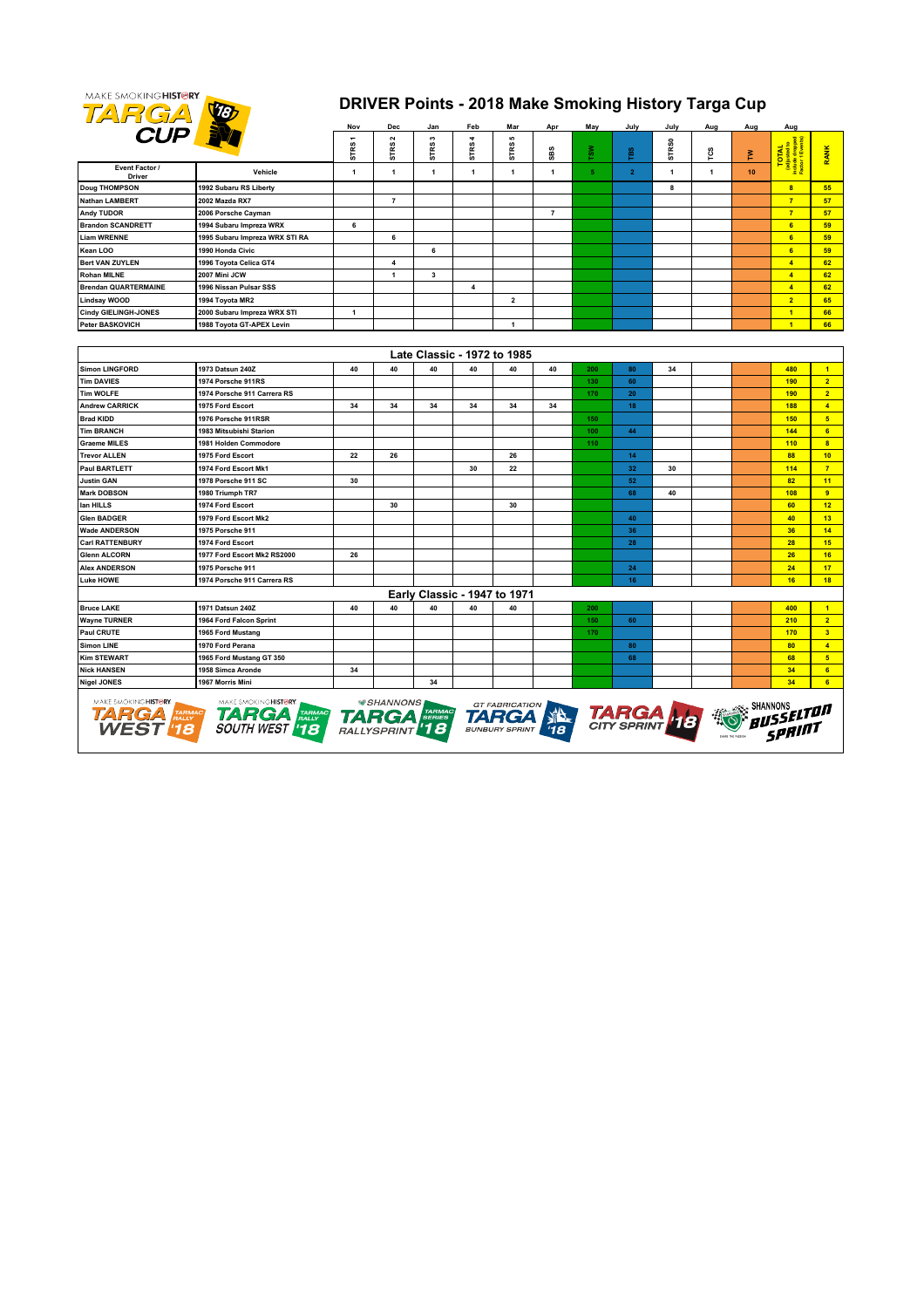

## **DRIVER Points - 2018 Make Smoking History Targa Cup**

|                             | <b>CUP</b>                                                                                                                                                                                                                                                                                                  |                  | Dec            | Jan            | Feb                          | Mar                     | Apr            | May | July           | July         | Aug | Aug | Aug                     |                      |
|-----------------------------|-------------------------------------------------------------------------------------------------------------------------------------------------------------------------------------------------------------------------------------------------------------------------------------------------------------|------------------|----------------|----------------|------------------------------|-------------------------|----------------|-----|----------------|--------------|-----|-----|-------------------------|----------------------|
|                             |                                                                                                                                                                                                                                                                                                             | ٠<br><b>STRS</b> | Σ<br>œ,<br>5   | $\sim$<br>STRS | 4<br>STRS.                   | ı0<br>STRS              | SBS            | TSW | βã             | <b>STRS0</b> | rcs | Σ   | TOTAL                   | RANK                 |
| Event Factor /<br>Driver    | Vehicle                                                                                                                                                                                                                                                                                                     | 1                | 1              | 1              | 1                            | 1                       | 1              | 5   | $\overline{2}$ | $\mathbf{1}$ | 1   | 10  |                         |                      |
| <b>Doug THOMPSON</b>        | 1992 Subaru RS Liberty                                                                                                                                                                                                                                                                                      |                  |                |                |                              |                         |                |     |                | 8            |     |     | $\overline{\mathbf{8}}$ | 55                   |
| <b>Nathan LAMBERT</b>       | 2002 Mazda RX7                                                                                                                                                                                                                                                                                              |                  | $\overline{7}$ |                |                              |                         |                |     |                |              |     |     | $\overline{7}$          | 57                   |
| Andy TUDOR                  | 2006 Porsche Cayman                                                                                                                                                                                                                                                                                         |                  |                |                |                              |                         | $\overline{7}$ |     |                |              |     |     | $\overline{7}$          | 57                   |
| <b>Brandon SCANDRETT</b>    | 1994 Subaru Impreza WRX                                                                                                                                                                                                                                                                                     | 6                |                |                |                              |                         |                |     |                |              |     |     | 6                       | 59                   |
| <b>Liam WRENNE</b>          | 1995 Subaru Impreza WRX STI RA                                                                                                                                                                                                                                                                              |                  | 6              |                |                              |                         |                |     |                |              |     |     | 6                       | 59                   |
| Kean LOO                    | 1990 Honda Civic                                                                                                                                                                                                                                                                                            |                  |                | 6              |                              |                         |                |     |                |              |     |     | 6                       | 59                   |
| <b>Bert VAN ZUYLEN</b>      | 1996 Toyota Celica GT4                                                                                                                                                                                                                                                                                      |                  | 4              |                |                              |                         |                |     |                |              |     |     | $\overline{4}$          | 62                   |
| <b>Rohan MILNE</b>          | 2007 Mini JCW                                                                                                                                                                                                                                                                                               |                  | $\mathbf{1}$   | $\mathbf{3}$   |                              |                         |                |     |                |              |     |     | $\overline{4}$          | 62                   |
| <b>Brendan QUARTERMAINE</b> | 1996 Nissan Pulsar SSS                                                                                                                                                                                                                                                                                      |                  |                |                | 4                            |                         |                |     |                |              |     |     | $\overline{4}$          | 62                   |
| Lindsay WOOD                | 1994 Toyota MR2                                                                                                                                                                                                                                                                                             |                  |                |                |                              | $\overline{\mathbf{2}}$ |                |     |                |              |     |     | $\overline{2}$          | 65                   |
| <b>Cindy GIELINGH-JONES</b> | 2000 Subaru Impreza WRX STI                                                                                                                                                                                                                                                                                 | $\mathbf{1}$     |                |                |                              |                         |                |     |                |              |     |     | $\overline{1}$          | 66                   |
| Peter BASKOVICH             | 1988 Toyota GT-APEX Levin                                                                                                                                                                                                                                                                                   |                  |                |                |                              | 1                       |                |     |                |              |     |     | $\overline{1}$          | 66                   |
|                             |                                                                                                                                                                                                                                                                                                             |                  |                |                |                              |                         |                |     |                |              |     |     |                         |                      |
|                             |                                                                                                                                                                                                                                                                                                             |                  |                |                | Late Classic - 1972 to 1985  |                         |                |     |                |              |     |     |                         |                      |
| <b>Simon LINGFORD</b>       | 1973 Datsun 240Z                                                                                                                                                                                                                                                                                            | 40               | 40             | 40             | 40                           | 40                      | 40             | 200 | 80             | 34           |     |     | 480                     | $\blacktriangleleft$ |
| <b>Tim DAVIES</b>           | 1974 Porsche 911RS                                                                                                                                                                                                                                                                                          |                  |                |                |                              |                         |                | 130 | 60             |              |     |     | 190                     | 2 <sup>1</sup>       |
| <b>Tim WOLFE</b>            | 1974 Porsche 911 Carrera RS                                                                                                                                                                                                                                                                                 |                  |                |                |                              |                         |                | 170 | 20             |              |     |     | 190                     | 2 <sup>7</sup>       |
| <b>Andrew CARRICK</b>       | 1975 Ford Escort                                                                                                                                                                                                                                                                                            | 34               | 34             | 34             | 34                           | 34                      | 34             |     | 18             |              |     |     | 188                     | $\blacktriangleleft$ |
| <b>Brad KIDD</b>            | 1976 Porsche 911RSR                                                                                                                                                                                                                                                                                         |                  |                |                |                              |                         |                | 150 |                |              |     |     | 150                     | 5 <sub>5</sub>       |
| <b>Tim BRANCH</b>           | 1983 Mitsubishi Starion                                                                                                                                                                                                                                                                                     |                  |                |                |                              |                         |                | 100 | 44             |              |     |     | 144                     | 6 <sup>1</sup>       |
| <b>Graeme MILES</b>         | 1981 Holden Commodore                                                                                                                                                                                                                                                                                       |                  |                |                |                              |                         |                | 110 |                |              |     |     | 110                     | 8 <sup>2</sup>       |
| <b>Trevor ALLEN</b>         | 1975 Ford Escort                                                                                                                                                                                                                                                                                            | 22               | 26             |                |                              | 26                      |                |     | 14             |              |     |     | 88                      | 10                   |
| Paul BARTLETT               | 1974 Ford Escort Mk1                                                                                                                                                                                                                                                                                        |                  |                |                | 30                           | 22                      |                |     | 32             | 30           |     |     | 114                     | $\overline{7}$       |
| <b>Justin GAN</b>           | 1978 Porsche 911 SC                                                                                                                                                                                                                                                                                         | 30               |                |                |                              |                         |                |     | 52             |              |     |     | 82                      | 11                   |
| <b>Mark DOBSON</b>          | 1980 Triumph TR7                                                                                                                                                                                                                                                                                            |                  |                |                |                              |                         |                |     | 68             | 40           |     |     | 108                     | $\overline{9}$       |
| lan HILLS                   | 1974 Ford Escort                                                                                                                                                                                                                                                                                            |                  | 30             |                |                              | 30                      |                |     |                |              |     |     | 60                      | 12                   |
| <b>Glen BADGER</b>          | 1979 Ford Escort Mk2                                                                                                                                                                                                                                                                                        |                  |                |                |                              |                         |                |     | 40             |              |     |     | 40                      | 13                   |
| <b>Wade ANDERSON</b>        | 1975 Porsche 911                                                                                                                                                                                                                                                                                            |                  |                |                |                              |                         |                |     | 36             |              |     |     | 36                      | 14                   |
| <b>Carl RATTENBURY</b>      | 1974 Ford Escort                                                                                                                                                                                                                                                                                            |                  |                |                |                              |                         |                |     | 28             |              |     |     | 28                      | 15                   |
| <b>Glenn ALCORN</b>         | 1977 Ford Escort Mk2 RS2000                                                                                                                                                                                                                                                                                 | 26               |                |                |                              |                         |                |     |                |              |     |     | 26                      | 16                   |
| <b>Alex ANDERSON</b>        | 1975 Porsche 911                                                                                                                                                                                                                                                                                            |                  |                |                |                              |                         |                |     | 24             |              |     |     | 24                      | 17                   |
| Luke HOWE                   | 1974 Porsche 911 Carrera RS                                                                                                                                                                                                                                                                                 |                  |                |                |                              |                         |                |     | 16             |              |     |     | 16                      | 18                   |
|                             |                                                                                                                                                                                                                                                                                                             |                  |                |                | Early Classic - 1947 to 1971 |                         |                |     |                |              |     |     |                         |                      |
| <b>Bruce LAKE</b>           | 1971 Datsun 240Z                                                                                                                                                                                                                                                                                            | 40               | 40             | 40             | 40                           | 40                      |                | 200 |                |              |     |     | 400                     | $\overline{1}$       |
| <b>Wayne TURNER</b>         | 1964 Ford Falcon Sprint                                                                                                                                                                                                                                                                                     |                  |                |                |                              |                         |                | 150 | 60             |              |     |     | 210                     | $\overline{2}$       |
| Paul CRUTE                  | 1965 Ford Mustang                                                                                                                                                                                                                                                                                           |                  |                |                |                              |                         |                | 170 |                |              |     |     | 170                     | 3 <sup>2</sup>       |
| <b>Simon LINE</b>           | 1970 Ford Perana                                                                                                                                                                                                                                                                                            |                  |                |                |                              |                         |                |     | 80             |              |     |     | 80                      | $\overline{4}$       |
| <b>Kim STEWART</b>          | 1965 Ford Mustang GT 350                                                                                                                                                                                                                                                                                    |                  |                |                |                              |                         |                |     | 68             |              |     |     | 68                      | 5 <sub>5</sub>       |
| <b>Nick HANSEN</b>          | 1958 Simca Aronde                                                                                                                                                                                                                                                                                           | 34               |                |                |                              |                         |                |     |                |              |     |     | 34                      | 6 <sup>1</sup>       |
| <b>Nigel JONES</b>          | 1967 Morris Mini                                                                                                                                                                                                                                                                                            |                  |                | 34             |                              |                         |                |     |                |              |     |     | 34                      | 6 <sup>1</sup>       |
| MAKE SMOKING HISTORY.       | MAKE SMOKING HISTORY.<br><b>SHANNONS</b><br><b>GT FABRICATION</b><br><sub>onannuns</sub><br>ø11SSELTØ∏<br><b>TARGA</b> FARMAG<br>WEST <sup>1</sup> 18<br><b>TARGA</b> FARIMAGE SOUTH WEST <b>18</b><br><b>TARGA</b><br><b>TARGA</b><br><b>TARGA</b><br>RALLYSPRINT <sup>1</sup> 18<br><b>BUNBURY SPRINT</b> |                  |                |                |                              |                         |                |     |                |              |     |     |                         |                      |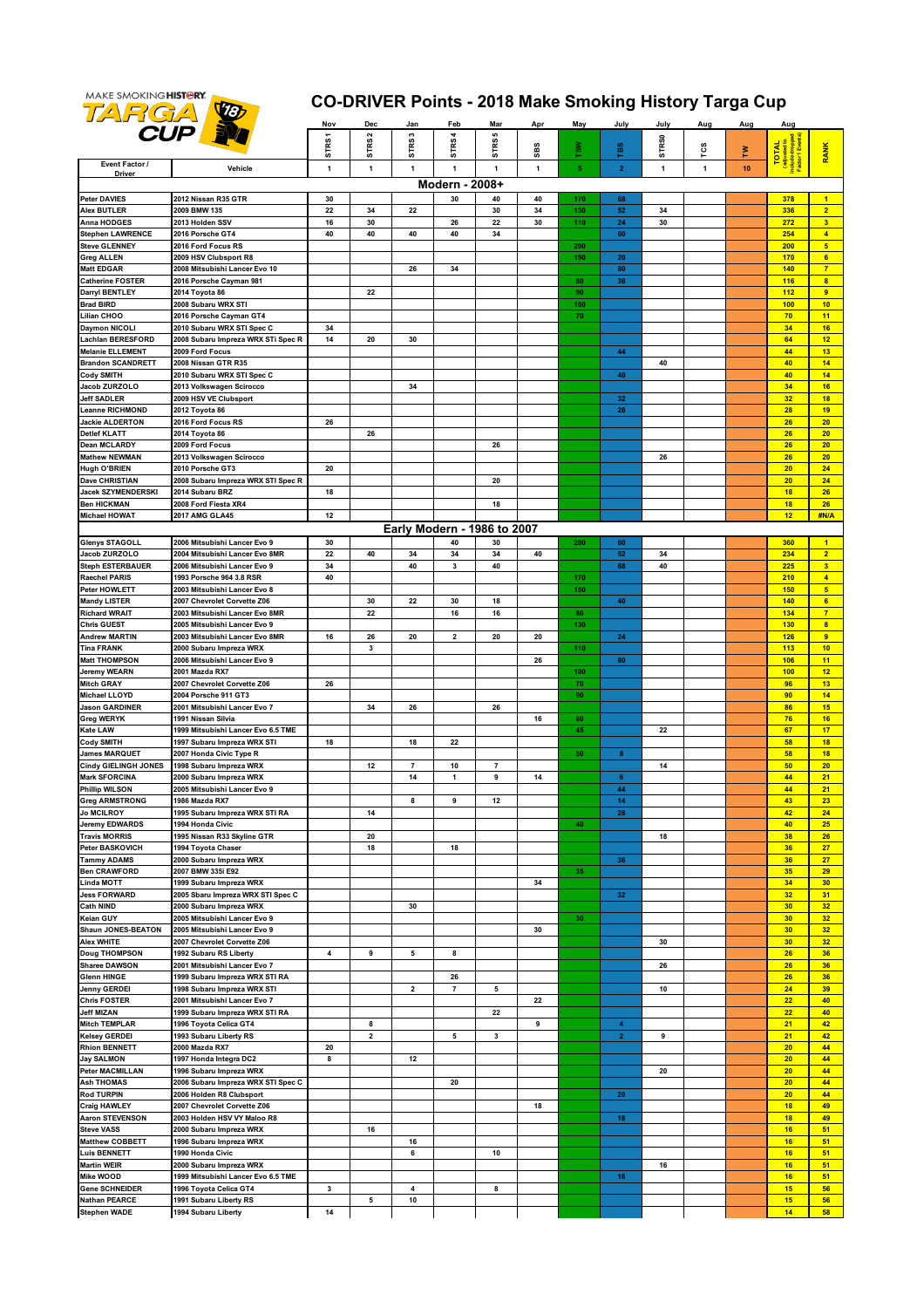

## **CO-DRIVER Points - 2018 Make Smoking History Targa Cup**

|                                                     |                                                              | Nov   | Dec                 | Jan                     | Feb                  | Mar                         | Apr | May               | July                                 | July              | Aug          | Aug | Aug          |                                   |
|-----------------------------------------------------|--------------------------------------------------------------|-------|---------------------|-------------------------|----------------------|-----------------------------|-----|-------------------|--------------------------------------|-------------------|--------------|-----|--------------|-----------------------------------|
|                                                     | <b>CUP BY</b>                                                | STRS1 | STRS <sub>2</sub>   | STRS3                   | <b>STRS4</b>         | 5<br><b>STRS</b>            |     |                   |                                      | STR <sub>S0</sub> |              |     |              |                                   |
| Event Factor /                                      |                                                              |       |                     |                         |                      |                             | SBS | š»                | ras                                  |                   | rcs          | ≧   | <b>TOTAL</b> | <b>RANK</b>                       |
| Driver                                              | Vehicle                                                      | 1     | $\mathbf{1}$        | $\mathbf{1}$            | 1                    | $\mathbf{1}$                | 1   | 5                 | $\overline{2}$                       | 1                 | $\mathbf{1}$ | 10  |              |                                   |
|                                                     |                                                              | 30    |                     |                         | Modern - 2008+<br>30 | 40                          | 40  |                   | 68                                   |                   |              |     | 378          |                                   |
| <b>Peter DAVIES</b><br><b>Alex BUTLER</b>           | 2012 Nissan R35 GTR<br>2009 BMW 135                          | 22    | 34                  | 22                      |                      | 30                          | 34  | 170<br>130        | 52                                   | 34                |              |     | 336          | $\blacksquare$<br>$\overline{2}$  |
| Anna HODGES                                         | 2013 Holden SSV                                              | 16    | 30                  |                         | 26                   | 22                          | 30  | 110               | ${\bf 24}$                           | 30                |              |     | 272          | $\overline{\mathbf{3}}$           |
| <b>Stephen LAWRENCE</b>                             | 2016 Porsche GT4                                             | 40    | 40                  | 40                      | 40                   | 34                          |     |                   | 60                                   |                   |              |     | 254          | $\overline{4}$                    |
| <b>Steve GLENNEY</b><br><b>Greg ALLEN</b>           | 2016 Ford Focus RS<br>2009 HSV Clubsport R8                  |       |                     |                         |                      |                             |     | 200<br>150        | 20                                   |                   |              |     | 200<br>170   | 5 <sub>5</sub><br>6               |
| <b>Matt EDGAR</b>                                   | 2008 Mitsubishi Lancer Evo 10                                |       |                     | 26                      | 34                   |                             |     |                   | 80                                   |                   |              |     | 140          | $\overline{7}$                    |
| Catherine FOSTER                                    | 2016 Porsche Cayman 981                                      |       |                     |                         |                      |                             |     | 80                | 36                                   |                   |              |     | 116          | $\overline{\mathbf{8}}$           |
| <b>Darryl BENTLEY</b>                               | 2014 Toyota 86                                               |       | 22                  |                         |                      |                             |     | 90                |                                      |                   |              |     | 112          | $\overline{9}$                    |
| <b>Brad BIRD</b><br>Lilian CHOO                     | 2008 Subaru WRX STI<br>2016 Porsche Cayman GT4               |       |                     |                         |                      |                             |     | 100<br>${\bf 70}$ |                                      |                   |              |     | 100<br>70    | 10 <sub>1</sub><br>11             |
| <b>Daymon NICOLI</b>                                | 2010 Subaru WRX STI Spec C                                   | 34    |                     |                         |                      |                             |     |                   |                                      |                   |              |     | 34           | 16                                |
| Lachlan BERESFORD                                   | 2008 Subaru Impreza WRX STi Spec R                           | 14    | 20                  | 30                      |                      |                             |     |                   |                                      |                   |              |     | 64           | 12                                |
| <b>Melanie ELLEMENT</b>                             | 2009 Ford Focus                                              |       |                     |                         |                      |                             |     |                   | 44                                   |                   |              |     | 44           | 13                                |
| <b>Brandon SCANDRETT</b><br><b>Cody SMITH</b>       | 2008 Nissan GTR R35<br>2010 Subaru WRX STI Spec C            |       |                     |                         |                      |                             |     |                   | 40                                   | 40                |              |     | 40<br>40     | 14<br>14                          |
| Jacob ZURZOLO                                       | 2013 Volkswagen Scirocco                                     |       |                     | 34                      |                      |                             |     |                   |                                      |                   |              |     | 34           | 16                                |
| <b>Jeff SADLER</b>                                  | 2009 HSV VE Clubsport                                        |       |                     |                         |                      |                             |     |                   | 32                                   |                   |              |     | 32           | 18                                |
| eanne RICHMOND                                      | 2012 Toyota 86                                               |       |                     |                         |                      |                             |     |                   | 28                                   |                   |              |     | 28           | 19                                |
| <b>Jackie ALDERTON</b><br><b>Detlef KLATT</b>       | 2016 Ford Focus RS<br>2014 Toyota 86                         | 26    | 26                  |                         |                      |                             |     |                   |                                      |                   |              |     | 26<br>26     | 20<br>20                          |
| <b>Dean MCLARDY</b>                                 | 2009 Ford Focus                                              |       |                     |                         |                      | 26                          |     |                   |                                      |                   |              |     | 26           | 20                                |
| <b>Mathew NEWMAN</b>                                | 2013 Volkswagen Scirocco                                     |       |                     |                         |                      |                             |     |                   |                                      | 26                |              |     | 26           | 20                                |
| Hugh O'BRIEN                                        | 2010 Porsche GT3                                             | 20    |                     |                         |                      |                             |     |                   |                                      |                   |              |     | 20           | 24                                |
| Dave CHRISTIAN                                      | 2008 Subaru Impreza WRX STI Spec R                           |       |                     |                         |                      | 20                          |     |                   |                                      |                   |              |     | 20           | 24                                |
| Jacek SZYMENDERSKI<br><b>Ben HICKMAN</b>            | 2014 Subaru BRZ<br>2008 Ford Fiesta XR4                      | 18    |                     |                         |                      | 18                          |     |                   |                                      |                   |              |     | 18<br>18     | 26<br>26                          |
| <b>Michael HOWAT</b>                                | 2017 AMG GLA45                                               | 12    |                     |                         |                      |                             |     |                   |                                      |                   |              |     | 12           | #N/A                              |
|                                                     |                                                              |       |                     |                         |                      | Early Modern - 1986 to 2007 |     |                   |                                      |                   |              |     |              |                                   |
| <b>Glenys STAGOLL</b>                               | 2006 Mitsubishi Lancer Evo 9                                 | 30    |                     |                         | 40                   | 30                          |     | 200               | 60                                   |                   |              |     | 360          | $\blacktriangleleft$              |
| Jacob ZURZOLO                                       | 2004 Mitsubishi Lancer Evo 8MR                               | 22    | 40                  | 34                      | 34                   | 34                          | 40  |                   | 52                                   | 34                |              |     | 234          | $\overline{2}$                    |
| <b>Steph ESTERBAUER</b>                             | 2006 Mitsubishi Lancer Evo 9                                 | 34    |                     | 40                      | 3                    | 40                          |     |                   | 68                                   | 40                |              |     | 225          | 3 <sup>2</sup>                    |
| Raechel PARIS<br>Peter HOWLETT                      | 1993 Porsche 964 3.8 RSR<br>2003 Mitsubishi Lancer Evo 8     | 40    |                     |                         |                      |                             |     | 170<br>150        |                                      |                   |              |     | 210<br>150   | $\overline{4}$<br>5               |
| <b>Mandy LISTER</b>                                 | 2007 Chevrolet Corvette Z06                                  |       | 30                  | 22                      | 30                   | 18                          |     |                   | 40                                   |                   |              |     | 140          | $6\phantom{a}$                    |
| <b>Richard WRAIT</b>                                | 2003 Mitsubishi Lancer Evo 8MR                               |       | 22                  |                         | 16                   | 16                          |     | 80                |                                      |                   |              |     | 134          | $\overline{7}$                    |
| <b>Chris GUEST</b>                                  | 2005 Mitsubishi Lancer Evo 9                                 |       |                     |                         |                      |                             |     | 130               |                                      |                   |              |     | 130          | $\overline{\mathbf{8}}$           |
| <b>Andrew MARTIN</b><br><b>Tina FRANK</b>           | 2003 Mitsubishi Lancer Evo 8MR                               | 16    | 26                  | 20                      | 2                    | 20                          | 20  | 110               | 24                                   |                   |              |     | 126<br>113   | $\overline{9}$<br>10 <sub>1</sub> |
| <b>Matt THOMPSON</b>                                | 2000 Subaru Impreza WRX<br>2006 Mitsubishi Lancer Evo 9      |       | 3                   |                         |                      |                             | 26  |                   | 80                                   |                   |              |     | 106          | 11                                |
| <b>Jeremy WEARN</b>                                 | 2001 Mazda RX7                                               |       |                     |                         |                      |                             |     | 100               |                                      |                   |              |     | 100          | 12                                |
| <b>Mitch GRAY</b>                                   | 2007 Chevrolet Corvette Z06                                  | 26    |                     |                         |                      |                             |     | 70                |                                      |                   |              |     | 96           | 13                                |
| <b>Michael LLOYD</b>                                | 2004 Porsche 911 GT3                                         |       |                     |                         |                      |                             |     | 90                |                                      |                   |              |     | 90           | 14                                |
| <b>Jason GARDINER</b><br><b>Greg WERYK</b>          | 2001 Mitsubishi Lancer Evo 7<br>1991 Nissan Silvia           |       | 34                  | 26                      |                      | 26                          | 16  | 60                |                                      |                   |              |     | 86<br>76     | 15<br>16                          |
| <b>Kate LAW</b>                                     | 1999 Mitsubishi Lancer Evo 6.5 TME                           |       |                     |                         |                      |                             |     | 45                |                                      | 22                |              |     | 67           | 17                                |
| <b>Cody SMITH</b>                                   | 1997 Subaru Impreza WRX STI                                  | 18    |                     | 18                      | 22                   |                             |     |                   |                                      |                   |              |     | 58           | 18                                |
| <b>James MARQUET</b>                                | 2007 Honda Civic Type R                                      |       |                     |                         |                      |                             |     | 50                | $\bf{8}$                             |                   |              |     | 58           | 18                                |
| <b>Cindy GIELINGH JONES</b><br><b>Mark SFORCINA</b> | 1998 Subaru Impreza WRX<br>2000 Subaru Impreza WRX           |       | 12                  | 7<br>14                 | 10<br>1              | 7<br>9                      | 14  |                   | $\bf 6$                              | 14                |              |     | 50<br>44     | 20<br>21                          |
| <b>Phillip WILSON</b>                               | 2005 Mitsubishi Lancer Evo 9                                 |       |                     |                         |                      |                             |     |                   | 44                                   |                   |              |     | 44           | 21                                |
| <b>Greg ARMSTRONG</b>                               | 1986 Mazda RX7                                               |       |                     | 8                       | 9                    | 12                          |     |                   | 14                                   |                   |              |     | 43           | 23                                |
| <b>Jo MCILROY</b>                                   | 1995 Subaru Impreza WRX STI RA                               |       | 14                  |                         |                      |                             |     |                   | 28                                   |                   |              |     | 42           | 24                                |
| <b>Jeremy EDWARDS</b>                               | 1994 Honda Civic                                             |       |                     |                         |                      |                             |     | 40                |                                      |                   |              |     | 40<br>38     | 25<br>26                          |
| <b>Travis MORRIS</b><br><b>Peter BASKOVICH</b>      | 1995 Nissan R33 Skyline GTR<br>1994 Toyota Chaser            |       | 20<br>18            |                         | 18                   |                             |     |                   |                                      | 18                |              |     | 36           | 27                                |
| <b>Tammy ADAMS</b>                                  | 2000 Subaru Impreza WRX                                      |       |                     |                         |                      |                             |     |                   | 36                                   |                   |              |     | 36           | 27                                |
| <b>Ben CRAWFORD</b>                                 | 2007 BMW 335i E92                                            |       |                     |                         |                      |                             |     | 35                |                                      |                   |              |     | 35           | 29                                |
| <b>Linda MOTT</b><br><b>Jess FORWARD</b>            | 1999 Subaru Impreza WRX                                      |       |                     |                         |                      |                             | 34  |                   |                                      |                   |              |     | 34           | 30 <sub>2</sub>                   |
| <b>Cath NIND</b>                                    | 2005 Sbaru Impreza WRX STI Spec C<br>2000 Subaru Impreza WRX |       |                     | 30                      |                      |                             |     |                   | 32                                   |                   |              |     | 32<br>30     | 31<br>32 <sub>2</sub>             |
| Keian GUY                                           | 2005 Mitsubishi Lancer Evo 9                                 |       |                     |                         |                      |                             |     | 30                |                                      |                   |              |     | 30           | 32 <sub>2</sub>                   |
| Shaun JONES-BEATON                                  | 2005 Mitsubishi Lancer Evo 9                                 |       |                     |                         |                      |                             | 30  |                   |                                      |                   |              |     | 30           | 32                                |
| Alex WHITE                                          | 2007 Chevrolet Corvette Z06                                  |       |                     |                         |                      |                             |     |                   |                                      | 30                |              |     | 30           | 32 <sub>2</sub>                   |
| <b>Doug THOMPSON</b><br>Sharee DAWSON               | 1992 Subaru RS Liberty<br>2001 Mitsubishi Lancer Evo 7       | 4     | 9                   | 5                       | 8                    |                             |     |                   |                                      | 26                |              |     | 26<br>26     | 36<br>36                          |
| <b>Glenn HINGE</b>                                  | 1999 Subaru Impreza WRX STI RA                               |       |                     |                         | 26                   |                             |     |                   |                                      |                   |              |     | 26           | 36                                |
| Jenny GERDEI                                        | 1998 Subaru Impreza WRX STI                                  |       |                     | $\overline{\mathbf{2}}$ | $\overline{7}$       | 5                           |     |                   |                                      | 10                |              |     | 24           | 39                                |
| <b>Chris FOSTER</b>                                 | 2001 Mitsubishi Lancer Evo 7                                 |       |                     |                         |                      |                             | 22  |                   |                                      |                   |              |     | 22           | 40                                |
| <b>Jeff MIZAN</b>                                   | 1999 Subaru Impreza WRX STI RA                               |       |                     |                         |                      | 22                          |     |                   |                                      |                   |              |     | 22           | 40                                |
| <b>Mitch TEMPLAR</b><br><b>Kelsey GERDEI</b>        | 1996 Toyota Celica GT4<br>1993 Subaru Liberty RS             |       | 8<br>$\overline{2}$ |                         | 5                    | 3                           | 9   |                   | $\blacktriangleleft$<br>$\mathbf{2}$ | 9                 |              |     | 21<br>21     | 42<br>42                          |
| <b>Rhion BENNETT</b>                                | 2000 Mazda RX7                                               | 20    |                     |                         |                      |                             |     |                   |                                      |                   |              |     | 20           | 44                                |
| <b>Jay SALMON</b>                                   | 1997 Honda Integra DC2                                       | 8     |                     | 12                      |                      |                             |     |                   |                                      |                   |              |     | 20           | 44                                |
| <b>Peter MACMILLAN</b>                              | 1996 Subaru Impreza WRX                                      |       |                     |                         |                      |                             |     |                   |                                      | 20                |              |     | 20           | 44                                |
| <b>Ash THOMAS</b><br><b>Rod TURPIN</b>              | 2006 Subaru Impreza WRX STI Spec C                           |       |                     |                         | 20                   |                             |     |                   | 20                                   |                   |              |     | 20<br>20     | 44<br>44                          |
| <b>Craig HAWLEY</b>                                 | 2006 Holden R8 Clubsport<br>2007 Chevrolet Corvette Z06      |       |                     |                         |                      |                             | 18  |                   |                                      |                   |              |     | 18           | 49                                |
| <b>Aaron STEVENSON</b>                              | 2003 Holden HSV VY Maloo R8                                  |       |                     |                         |                      |                             |     |                   | 18                                   |                   |              |     | 18           | 49                                |
| <b>Steve VASS</b>                                   | 2000 Subaru Impreza WRX                                      |       | 16                  |                         |                      |                             |     |                   |                                      |                   |              |     | 16           | 51                                |
| <b>Matthew COBBETT</b>                              | 1996 Subaru Impreza WRX                                      |       |                     | 16                      |                      |                             |     |                   |                                      |                   |              |     | 16           | 51                                |
| <b>Luis BENNETT</b><br><b>Martin WEIR</b>           | 1990 Honda Civic<br>2000 Subaru Impreza WRX                  |       |                     | 6                       |                      | 10                          |     |                   |                                      | 16                |              |     | 16<br>16     | 51<br>51                          |
| Mike WOOD                                           | 1999 Mitsubishi Lancer Evo 6.5 TME                           |       |                     |                         |                      |                             |     |                   | 16                                   |                   |              |     | 16           | 51                                |
| <b>Gene SCHNEIDER</b>                               | 1996 Toyota Celica GT4                                       | 3     |                     | 4                       |                      | 8                           |     |                   |                                      |                   |              |     | 15           | 56                                |
| <b>Nathan PEARCE</b>                                | 1991 Subaru Liberty RS                                       |       | 5                   | 10                      |                      |                             |     |                   |                                      |                   |              |     | 15           | 56                                |
| <b>Stephen WADE</b>                                 | 1994 Subaru Liberty                                          | 14    |                     |                         |                      |                             |     |                   |                                      |                   |              |     | 14           | 58                                |